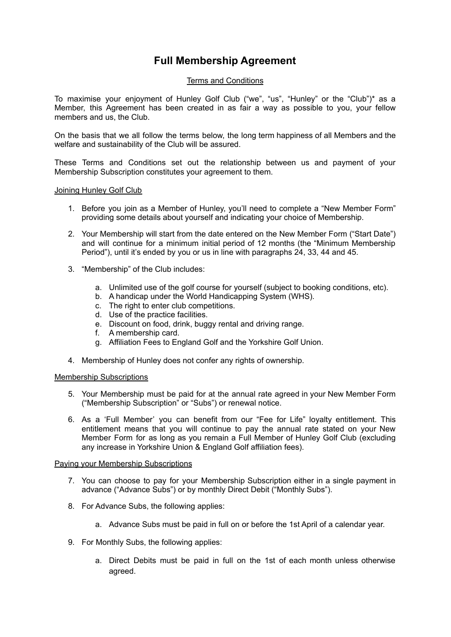# **Full Membership Agreement**

# Terms and Conditions

To maximise your enjoyment of Hunley Golf Club ("we", "us", "Hunley" or the "Club")\* as a Member, this Agreement has been created in as fair a way as possible to you, your fellow members and us, the Club.

On the basis that we all follow the terms below, the long term happiness of all Members and the welfare and sustainability of the Club will be assured.

These Terms and Conditions set out the relationship between us and payment of your Membership Subscription constitutes your agreement to them.

# Joining Hunley Golf Club

- 1. Before you join as a Member of Hunley, you'll need to complete a "New Member Form" providing some details about yourself and indicating your choice of Membership.
- 2. Your Membership will start from the date entered on the New Member Form ("Start Date") and will continue for a minimum initial period of 12 months (the "Minimum Membership Period"), until it's ended by you or us in line with paragraphs 24, 33, 44 and 45.
- 3. "Membership" of the Club includes:
	- a. Unlimited use of the golf course for yourself (subject to booking conditions, etc).
	- b. A handicap under the World Handicapping System (WHS).
	- c. The right to enter club competitions.
	- d. Use of the practice facilities.
	- e. Discount on food, drink, buggy rental and driving range.
	- f. A membership card.
	- g. Affiliation Fees to England Golf and the Yorkshire Golf Union.
- 4. Membership of Hunley does not confer any rights of ownership.

# Membership Subscriptions

- 5. Your Membership must be paid for at the annual rate agreed in your New Member Form ("Membership Subscription" or "Subs") or renewal notice.
- 6. As a 'Full Member' you can benefit from our "Fee for Life" loyalty entitlement. This entitlement means that you will continue to pay the annual rate stated on your New Member Form for as long as you remain a Full Member of Hunley Golf Club (excluding any increase in Yorkshire Union & England Golf affiliation fees).

# Paying your Membership Subscriptions

- 7. You can choose to pay for your Membership Subscription either in a single payment in advance ("Advance Subs") or by monthly Direct Debit ("Monthly Subs").
- 8. For Advance Subs, the following applies:
	- a. Advance Subs must be paid in full on or before the 1st April of a calendar year.
- 9. For Monthly Subs, the following applies:
	- a. Direct Debits must be paid in full on the 1st of each month unless otherwise agreed.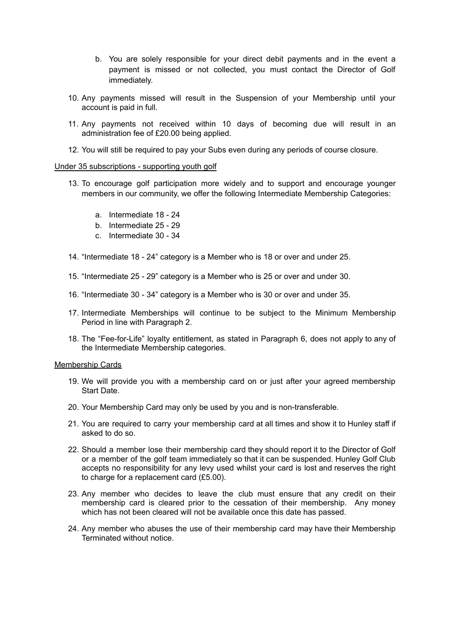- b. You are solely responsible for your direct debit payments and in the event a payment is missed or not collected, you must contact the Director of Golf immediately.
- 10. Any payments missed will result in the Suspension of your Membership until your account is paid in full.
- 11. Any payments not received within 10 days of becoming due will result in an administration fee of £20.00 being applied.
- 12. You will still be required to pay your Subs even during any periods of course closure.

## Under 35 subscriptions - supporting youth golf

- 13. To encourage golf participation more widely and to support and encourage younger members in our community, we offer the following Intermediate Membership Categories:
	- a. Intermediate 18 24
	- b. Intermediate 25 29
	- c. Intermediate 30 34
- 14. "Intermediate 18 24" category is a Member who is 18 or over and under 25.
- 15. "Intermediate 25 29" category is a Member who is 25 or over and under 30.
- 16. "Intermediate 30 34" category is a Member who is 30 or over and under 35.
- 17. Intermediate Memberships will continue to be subject to the Minimum Membership Period in line with Paragraph 2.
- 18. The "Fee-for-Life" loyalty entitlement, as stated in Paragraph 6, does not apply to any of the Intermediate Membership categories.

## Membership Cards

- 19. We will provide you with a membership card on or just after your agreed membership Start Date.
- 20. Your Membership Card may only be used by you and is non-transferable.
- 21. You are required to carry your membership card at all times and show it to Hunley staff if asked to do so.
- 22. Should a member lose their membership card they should report it to the Director of Golf or a member of the golf team immediately so that it can be suspended. Hunley Golf Club accepts no responsibility for any levy used whilst your card is lost and reserves the right to charge for a replacement card (£5.00).
- 23. Any member who decides to leave the club must ensure that any credit on their membership card is cleared prior to the cessation of their membership. Any money which has not been cleared will not be available once this date has passed.
- 24. Any member who abuses the use of their membership card may have their Membership Terminated without notice.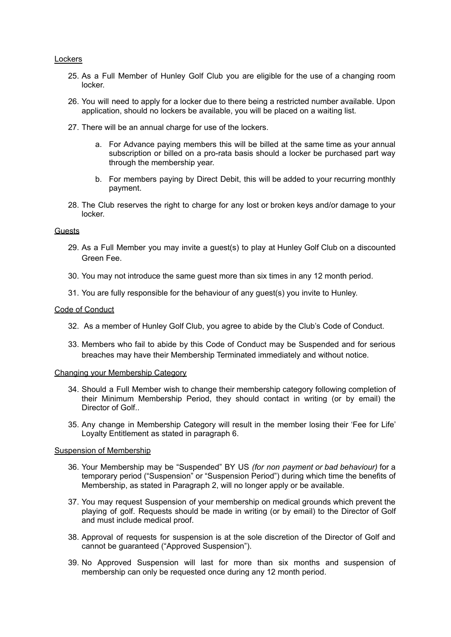## Lockers

- 25. As a Full Member of Hunley Golf Club you are eligible for the use of a changing room locker.
- 26. You will need to apply for a locker due to there being a restricted number available. Upon application, should no lockers be available, you will be placed on a waiting list.
- 27. There will be an annual charge for use of the lockers.
	- a. For Advance paying members this will be billed at the same time as your annual subscription or billed on a pro-rata basis should a locker be purchased part way through the membership year.
	- b. For members paying by Direct Debit, this will be added to your recurring monthly payment.
- 28. The Club reserves the right to charge for any lost or broken keys and/or damage to your locker.

## Guests

- 29. As a Full Member you may invite a guest(s) to play at Hunley Golf Club on a discounted Green Fee.
- 30. You may not introduce the same guest more than six times in any 12 month period.
- 31. You are fully responsible for the behaviour of any guest(s) you invite to Hunley.

## Code of Conduct

- 32. As a member of Hunley Golf Club, you agree to abide by the Club's Code of Conduct.
- 33. Members who fail to abide by this Code of Conduct may be Suspended and for serious breaches may have their Membership Terminated immediately and without notice.

## Changing your Membership Category

- 34. Should a Full Member wish to change their membership category following completion of their Minimum Membership Period, they should contact in writing (or by email) the Director of Golf..
- 35. Any change in Membership Category will result in the member losing their 'Fee for Life' Loyalty Entitlement as stated in paragraph 6.

## Suspension of Membership

- 36. Your Membership may be "Suspended" BY US *(for non payment or bad behaviour)* for a temporary period ("Suspension" or "Suspension Period") during which time the benefits of Membership, as stated in Paragraph 2, will no longer apply or be available.
- 37. You may request Suspension of your membership on medical grounds which prevent the playing of golf. Requests should be made in writing (or by email) to the Director of Golf and must include medical proof.
- 38. Approval of requests for suspension is at the sole discretion of the Director of Golf and cannot be guaranteed ("Approved Suspension").
- 39. No Approved Suspension will last for more than six months and suspension of membership can only be requested once during any 12 month period.